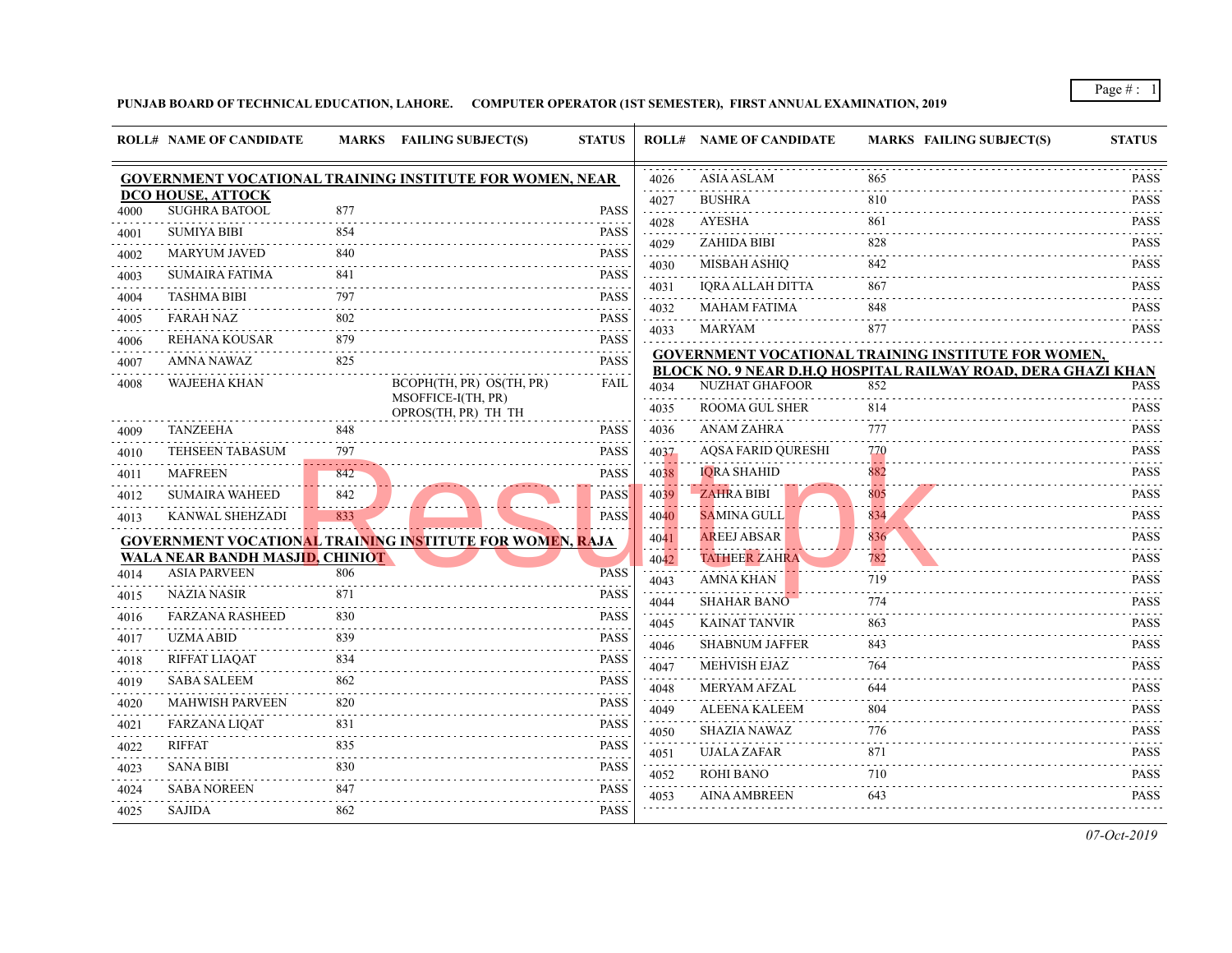|           | <b>ROLL# NAME OF CANDIDATE</b>            |                 | MARKS FAILING SUBJECT(S)                                        | <b>STATUS</b>                                                                                                                                                       |                                            | <b>ROLL# NAME OF CANDIDATE</b>               | <b>MARKS FAIL</b> |
|-----------|-------------------------------------------|-----------------|-----------------------------------------------------------------|---------------------------------------------------------------------------------------------------------------------------------------------------------------------|--------------------------------------------|----------------------------------------------|-------------------|
|           |                                           |                 | <b>GOVERNMENT VOCATIONAL TRAINING INSTITUTE FOR WOMEN, NEAR</b> |                                                                                                                                                                     | 4026                                       | <b>ASIA ASLAM</b>                            | 865               |
|           | DCO HOUSE, ATTOCK<br><b>SUGHRA BATOOL</b> | 877             |                                                                 | <b>PASS</b>                                                                                                                                                         | 4027                                       | <b>BUSHRA</b>                                | 810               |
| 4000      | <b>SUMIYA BIBI</b>                        | 854             |                                                                 | <b>PASS</b>                                                                                                                                                         | .<br>4028                                  | AYESHA                                       | 861               |
| 4001      |                                           |                 |                                                                 | .                                                                                                                                                                   | .<br>4029                                  | ZAHIDA BIBI                                  | 828               |
| 4002<br>. | <b>MARYUM JAVED</b>                       | 840             |                                                                 | <b>PASS</b><br>$\frac{1}{2} \left( \frac{1}{2} \right) \left( \frac{1}{2} \right) \left( \frac{1}{2} \right) \left( \frac{1}{2} \right) \left( \frac{1}{2} \right)$ | $\sim$ $\sim$ $\sim$ $\sim$<br>4030        | <b>MISBAH ASHIO</b>                          | 842               |
| 4003      | <b>SUMAIRA FATIMA</b>                     | 841             |                                                                 | <b>PASS</b>                                                                                                                                                         | .<br>4031                                  | IQRA ALLAH DITTA                             | 867               |
| 4004      | <b>TASHMA BIBI</b>                        | 797             |                                                                 | <b>PASS</b>                                                                                                                                                         | والمتعاملات<br>4032                        | <b>MAHAM FATIMA</b>                          | 848               |
| 4005      | <b>FARAH NAZ</b>                          | 802             |                                                                 | <b>PASS</b><br>.                                                                                                                                                    | .<br>4033                                  | MARYAM                                       | 877               |
| 4006      | REHANA KOUSAR                             | 879             |                                                                 | PASS                                                                                                                                                                |                                            | <b>GOVERNMENT VOCATIONAL TRAINING INS</b>    |                   |
| 4007      | AMNA NAWAZ                                | 825             |                                                                 | <b>PASS</b>                                                                                                                                                         |                                            | <b>BLOCK NO. 9 NEAR D.H.Q HOSPITAL RAILW</b> |                   |
| 4008      | <b>WAJEEHA KHAN</b>                       |                 | BCOPH(TH, PR) OS(TH, PR)                                        | FAIL                                                                                                                                                                | 4034                                       | <b>NUZHAT GHAFOOR</b>                        | 852               |
|           |                                           |                 | MSOFFICE-I(TH, PR)<br>OPROS(TH, PR) TH TH                       |                                                                                                                                                                     | 4035                                       | <b>ROOMA GUL SHER</b>                        | 814               |
| 4009      | <b>TANZEEHA</b>                           | 848             |                                                                 | <b>PASS</b>                                                                                                                                                         | 4036                                       | <b>ANAM ZAHRA</b>                            | 777               |
| 4010      | <b>TEHSEEN TABASUM</b>                    | 797             |                                                                 | <b>PASS</b>                                                                                                                                                         | 4037                                       | AQSA FARID QURESHI                           | 770               |
| 4011      | <b>MAFREEN</b>                            | 842             |                                                                 | <b>PASS</b>                                                                                                                                                         | 4038                                       | <b>IQRA SHAHID</b>                           | 882               |
| 4012      | <b>SUMAIRA WAHEED</b>                     | 842             |                                                                 | <b>PASS</b>                                                                                                                                                         | 4039                                       | <b>ZAHRA BIBI</b>                            | 805               |
| 4013      | KANWAL SHEHZADI                           | والمرابي<br>833 |                                                                 | <b>PASS</b>                                                                                                                                                         | 4040                                       | <b>SAMINA GULL</b>                           | 834               |
|           |                                           |                 | <b>GOVERNMENT VOCATIONAL TRAINING INSTITUTE FOR WOMEN, RAJA</b> |                                                                                                                                                                     | 4041                                       | <b>AREEJ ABSAR</b>                           | 836               |
|           | WALA NEAR BANDH MASJID, CHINIOT           |                 |                                                                 |                                                                                                                                                                     | 4042                                       | <b>TATHEER ZAHRA</b>                         | 782               |
| 4014      | <b>ASIA PARVEEN</b>                       | 806             |                                                                 | <b>PASS</b>                                                                                                                                                         | 4043                                       | AMNA KHAN                                    | 719               |
| 4015      | <b>NAZIA NASIR</b>                        | 871             |                                                                 | <b>PASS</b><br>.                                                                                                                                                    | 4044                                       | <b>SHAHAR BANO</b>                           | 774               |
| 4016      | <b>FARZANA RASHEED</b>                    | 830             |                                                                 | <b>PASS</b>                                                                                                                                                         | 4045                                       | <b>KAINAT TANVIR</b>                         | 863               |
| 4017      | <b>UZMA ABID</b>                          | 839             |                                                                 | <b>PASS</b>                                                                                                                                                         | 4046                                       | <b>SHABNUM JAFFER</b>                        | 843               |
| 4018      | <b>RIFFAT LIAQAT</b>                      | 834             |                                                                 | <b>PASS</b>                                                                                                                                                         | $\sim$ $\sim$ $\sim$ $\sim$ $\sim$<br>4047 | <b>MEHVISH EJAZ</b>                          | 764               |
| 4019      | SABA SALEEM                               | 862             |                                                                 | .<br><b>PASS</b>                                                                                                                                                    | 4048                                       | <b>MERYAM AFZAL</b>                          | 644               |
| 4020      | <b>MAHWISH PARVEEN</b>                    | 820             |                                                                 | <b>PASS</b>                                                                                                                                                         | 4049                                       | <b>ALEENA KALEEM</b>                         | 804               |
| 4021      | <b>FARZANA LIQAT</b>                      | 831             |                                                                 | <b>PASS</b>                                                                                                                                                         | 4050                                       | <b>SHAZIA NAWAZ</b>                          | 776               |
| .<br>4022 | <b>RIFFAT</b>                             | 835             |                                                                 | <b>PASS</b>                                                                                                                                                         | 4051                                       | <b>UJALA ZAFAR</b>                           | 871               |
| 4023      | <b>SANA BIBI</b>                          | 830             |                                                                 | <b>PASS</b>                                                                                                                                                         | 4052                                       | <b>ROHI BANO</b>                             | 710               |
| 4024      | <b>SABA NOREEN</b>                        | 847             |                                                                 | <b>PASS</b>                                                                                                                                                         | 4053                                       | <b>AINA AMBREEN</b>                          | 643               |
| 4025      | SAJIDA                                    | 862             |                                                                 | <b>PASS</b>                                                                                                                                                         |                                            |                                              |                   |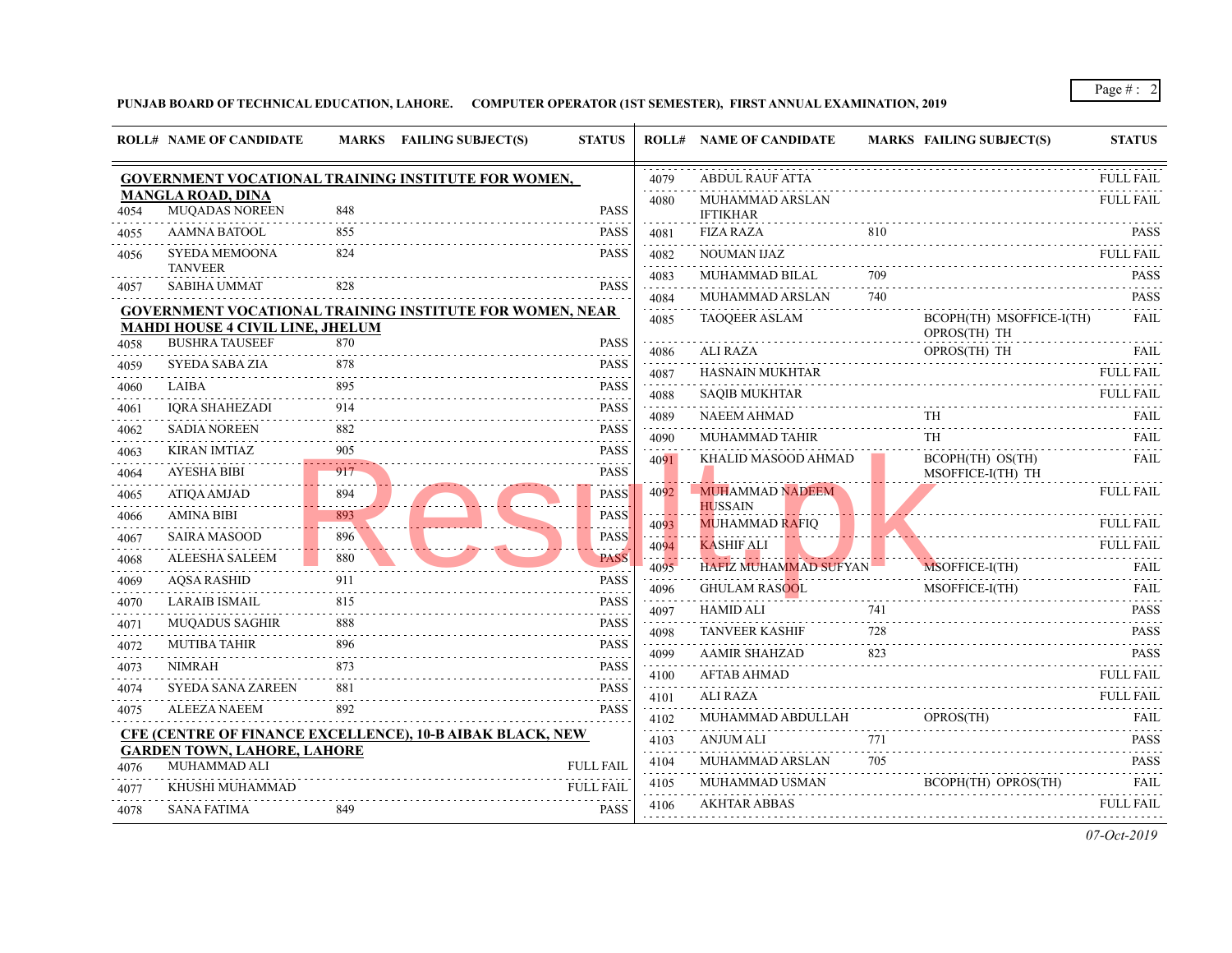|           | <b>ROLL# NAME OF CANDIDATE</b>                    |     | MARKS FAILING SUBJECT(S)                                         | <b>STATUS</b>                                                                                                                                                       |              | <b>ROLL# NAME OF CANDIDATE</b>          | <b>MARKS FAIL</b> |                           |
|-----------|---------------------------------------------------|-----|------------------------------------------------------------------|---------------------------------------------------------------------------------------------------------------------------------------------------------------------|--------------|-----------------------------------------|-------------------|---------------------------|
|           |                                                   |     | <b>GOVERNMENT VOCATIONAL TRAINING INSTITUTE FOR WOMEN,</b>       |                                                                                                                                                                     | 4079         | <b>ABDUL RAUF ATTA</b>                  |                   |                           |
| 4054      | <b>MANGLA ROAD, DINA</b><br><b>MUQADAS NOREEN</b> | 848 |                                                                  | <b>PASS</b>                                                                                                                                                         | 4080         | MUHAMMAD ARSLAN<br><b>IFTIKHAR</b>      |                   |                           |
| 4055      | AAMNA BATOOL                                      | 855 |                                                                  | PASS                                                                                                                                                                | 4081         | <b>FIZA RAZA</b>                        | 810               |                           |
| 4056      | SYEDA MEMOONA<br><b>TANVEER</b>                   | 824 |                                                                  | PASS                                                                                                                                                                | 4082         | <b>NOUMAN IJAZ</b>                      |                   |                           |
| 4057      | <b>SABIHA UMMAT</b>                               | 828 |                                                                  | <b>PASS</b>                                                                                                                                                         | 4083         | MUHAMMAD BILAL                          | 709               |                           |
|           |                                                   |     | <b>GOVERNMENT VOCATIONAL TRAINING INSTITUTE FOR WOMEN, NEAR</b>  |                                                                                                                                                                     | 4084         | MUHAMMAD ARSLAN                         | 740               |                           |
|           | <b>MAHDI HOUSE 4 CIVIL LINE, JHELUM</b>           |     |                                                                  |                                                                                                                                                                     | 4085         | <b>TAOQEER ASLAM</b>                    |                   | <b>BCO</b><br><b>OPRO</b> |
| 4058      | <b>BUSHRA TAUSEEF</b>                             | 870 |                                                                  | <b>PASS</b>                                                                                                                                                         | 4086         | <b>ALI RAZA</b>                         |                   | <b>OPRO</b>               |
| 4059      | SYEDA SABA ZIA                                    | 878 |                                                                  | <b>PASS</b><br>$\frac{1}{2} \left( \frac{1}{2} \right) \left( \frac{1}{2} \right) \left( \frac{1}{2} \right) \left( \frac{1}{2} \right) \left( \frac{1}{2} \right)$ | 4087         | <b>HASNAIN MUKHTAR</b>                  |                   |                           |
| 4060      | LAIBA                                             | 895 |                                                                  | PASS                                                                                                                                                                | 4088         | <b>SAQIB MUKHTAR</b>                    |                   |                           |
| 4061      | <b>IORA SHAHEZADI</b>                             | 914 |                                                                  | <b>PASS</b>                                                                                                                                                         | 4089         | NAEEM AHMAD                             |                   | TН                        |
| 4062      | <b>SADIA NOREEN</b>                               | 882 |                                                                  | <b>PASS</b>                                                                                                                                                         | 4090         | MUHAMMAD TAHIR                          |                   | TH                        |
| 4063      | KIRAN IMTIAZ                                      | 905 |                                                                  | <b>PASS</b>                                                                                                                                                         | 4091         | KHALID MASOOD AHMAD                     |                   | <b>BCO</b>                |
| 4064      | <b>AYESHA BIBI</b>                                | 917 |                                                                  | <b>PASS</b>                                                                                                                                                         |              |                                         |                   | MSO.                      |
| 4065      | <b>ATIQA AMJAD</b>                                | 894 |                                                                  | <b>PASS</b>                                                                                                                                                         | 4092         | <b>MUHAMMAD NADEEM</b>                  |                   |                           |
| 4066      | AMINA BIBI                                        | 893 |                                                                  | PASS                                                                                                                                                                | 4093         | <b>HUSSAIN</b><br><b>MUHAMMAD RAFIQ</b> |                   |                           |
| 4067      | <b>SAIRA MASOOD</b>                               | 896 |                                                                  | PASS                                                                                                                                                                | 4094         | <b>KASHIF ALI</b>                       |                   |                           |
| .<br>4068 | <b>ALEESHA SALEEM</b>                             | 880 |                                                                  | <b>PASS</b>                                                                                                                                                         | 4095         | HAFIZ MUHAMMAD SUFYAN                   |                   | <b>MSO</b>                |
| 4069      | <b>AQSA RASHID</b>                                | 911 |                                                                  | <b>PASS</b>                                                                                                                                                         | 4096         | <b>GHULAM RASOOL</b>                    |                   | MSO.                      |
| 4070      | <b>LARAIB ISMAIL</b>                              | 815 |                                                                  | <b>PASS</b>                                                                                                                                                         |              | HAMID ALI                               | 741               |                           |
| 4071      | <b>MUQADUS SAGHIR</b>                             | 888 |                                                                  | <b>PASS</b>                                                                                                                                                         | 4097         | <b>TANVEER KASHIF</b>                   | 728               |                           |
| 4072      | <b>MUTIBA TAHIR</b>                               | 896 |                                                                  | .<br>PASS                                                                                                                                                           | 4098         | AAMIR SHAHZAD                           | 823               |                           |
| 4073      | <b>NIMRAH</b>                                     | 873 |                                                                  | <b>PASS</b>                                                                                                                                                         | 4099         | <b>AFTAB AHMAD</b>                      |                   |                           |
| .<br>4074 | <b>SYEDA SANA ZAREEN</b>                          | 881 |                                                                  | المتحدث<br><b>PASS</b>                                                                                                                                              | 4100         | <b>ALI RAZA</b>                         |                   |                           |
| 4075      | ALEEZA NAEEM                                      | 892 |                                                                  | .<br>PASS                                                                                                                                                           | 4101<br>4102 | MUHAMMAD ABDULLAH                       |                   | OPR <sub>0</sub>          |
|           |                                                   |     | <b>CFE (CENTRE OF FINANCE EXCELLENCE), 10-B AIBAK BLACK, NEW</b> |                                                                                                                                                                     | 4103         | <b>ANJUM ALI</b>                        | 771               |                           |
|           | <b>GARDEN TOWN, LAHORE, LAHORE</b>                |     |                                                                  |                                                                                                                                                                     | .<br>4104    | MUHAMMAD ARSLAN                         | 705               |                           |
| 4076      | MUHAMMAD ALI                                      |     |                                                                  | <b>FULL FAIL</b>                                                                                                                                                    | 4105         | MUHAMMAD USMAN                          |                   | <b>BCOI</b>               |
| 4077      | KHUSHI MUHAMMAD                                   |     |                                                                  | <b>FULL FAIL</b>                                                                                                                                                    | 4106         | <b>AKHTAR ABBAS</b>                     |                   |                           |
| 4078      | SANA FATIMA                                       | 849 |                                                                  | PASS                                                                                                                                                                |              |                                         |                   |                           |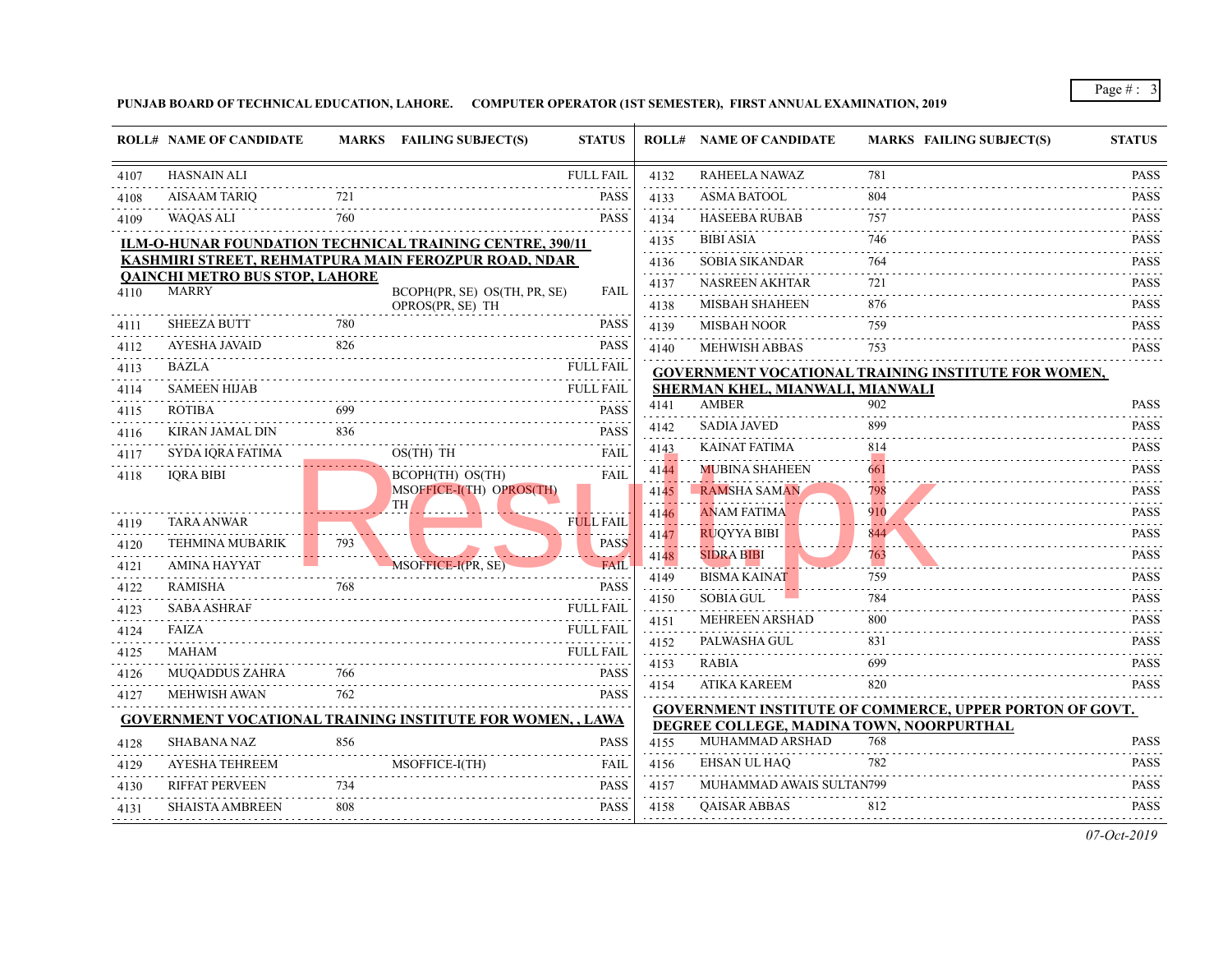|           | <b>ROLL# NAME OF CANDIDATE</b>                        |     | MARKS FAILING SUBJECT(S)<br><b>STATUS</b>                        |      | <b>ROLL# NAME OF CANDIDATE</b>                                                 | <b>MARKS FAIL</b> |
|-----------|-------------------------------------------------------|-----|------------------------------------------------------------------|------|--------------------------------------------------------------------------------|-------------------|
| 4107      | <b>HASNAIN ALI</b>                                    |     | <b>FULL FAIL</b>                                                 | 4132 | RAHEELA NAWAZ                                                                  | 781               |
| 4108      | <b>AISAAM TARIO</b>                                   |     | <b>PASS</b>                                                      | 4133 | <b>ASMA BATOOL</b>                                                             | 804               |
| 4109      | WAQAS ALI                                             | 760 | <b>PASS</b>                                                      | 4134 | <b>HASEEBA RUBAB</b>                                                           | 757               |
|           |                                                       |     | ILM-O-HUNAR FOUNDATION TECHNICAL TRAINING CENTRE, 390/11         | 4135 | <b>BIBI ASIA</b>                                                               | 746               |
|           |                                                       |     | KASHMIRI STREET, REHMATPURA MAIN FEROZPUR ROAD, NDAR             | 4136 | <b>SOBIA SIKANDAR</b>                                                          | 764               |
| 4110      | <b>OAINCHI METRO BUS STOP, LAHORE</b><br><b>MARRY</b> |     | BCOPH(PR, SE) OS(TH, PR, SE)<br><b>FAIL</b>                      | 4137 | <b>NASREEN AKHTAR</b>                                                          | 721               |
|           |                                                       |     | OPROS(PR, SE) TH                                                 | 4138 | <b>MISBAH SHAHEEN</b>                                                          | 876               |
| 4111      | <b>SHEEZA BUTT</b>                                    | 780 | PASS                                                             | 4139 | <b>MISBAH NOOR</b>                                                             | 759               |
| 4112      | <b>AYESHA JAVAID</b>                                  | 826 | <b>PASS</b>                                                      | 4140 | <b>MEHWISH ABBAS</b>                                                           | 753               |
| 4113      | <b>BAZLA</b>                                          |     | <b>FULL FAIL</b>                                                 |      | <b>GOVERNMENT VOCATIONAL TRAINING INS</b>                                      |                   |
| 4114      | <b>SAMEEN HIJAB</b>                                   |     | <b>FULL FAIL</b>                                                 |      | SHERMAN KHEL, MIANWALI, MIANWALI                                               |                   |
| 4115      | <b>ROTIBA</b><br>.                                    | 699 | PASS                                                             | 4141 | <b>AMBER</b>                                                                   | 902               |
| 4116      | KIRAN JAMAL DIN                                       | 836 | <b>PASS</b>                                                      | 4142 | <b>SADIA JAVED</b>                                                             | 899               |
| 4117      | SYDA IQRA FATIMA                                      |     | OS(TH) TH<br><b>FAIL</b>                                         | 4143 | KAINAT FATIMA                                                                  | 814               |
| 4118      | <b>IORA BIBI</b>                                      |     | BCOPH(TH) OS(TH)<br><b>FAIL</b>                                  | 4144 | <b>MUBINA SHAHEEN</b>                                                          | 661               |
|           |                                                       |     | MSOFFICE-I(TH) OPROS(TH)<br><b>TH</b>                            | 4145 | <b>RAMSHA SAMAN</b>                                                            | 798               |
| 4119      | <b>TARA ANWAR</b>                                     |     | <b>FULL FAIL</b>                                                 | 4146 | <b>ANAM FATIMA</b>                                                             | 910               |
| 4120      | TEHMINA MUBARIK                                       | 793 | <b>PASS</b>                                                      | 4147 | <b>RUQYYA BIBI</b>                                                             | 844               |
| 4121      | <b>AMINA HAYYAT</b>                                   |     | MSOFFICE-I(PR, SE)<br><b>FAIL</b>                                | 4148 | <b>SIDRA BIBI</b>                                                              | 763               |
| 4122      | <b>RAMISHA</b>                                        | 768 | <b>PASS</b>                                                      | 4149 | <b>BISMA KAINAT</b>                                                            | 759               |
| 4123      | <b>SABA ASHRAF</b>                                    |     | <b>FULL FAIL</b>                                                 | 4150 | <b>SOBIA GUL</b>                                                               | 784               |
| 4124      | <b>FAIZA</b>                                          |     | <b>FULL FAIL</b>                                                 | 4151 | <b>MEHREEN ARSHAD</b>                                                          | 800               |
| .<br>4125 | MAHAM                                                 |     | <b>FULL FAIL</b>                                                 | 4152 | PALWASHA GUL                                                                   | 831               |
| 4126      | <b>MUQADDUS ZAHRA</b>                                 | 766 | <b>PASS</b>                                                      | 4153 | RABIA                                                                          | 699               |
| 4127      | <b>MEHWISH AWAN</b>                                   | 762 | <b>PASS</b>                                                      | 4154 | <b>ATIKA KAREEM</b>                                                            | 820               |
|           |                                                       |     | <b>GOVERNMENT VOCATIONAL TRAINING INSTITUTE FOR WOMEN,, LAWA</b> |      | <b>GOVERNMENT INSTITUTE OF COMMERCE,</b><br>DEGREE COLLEGE, MADINA TOWN, NOORP |                   |
| 4128      | <b>SHABANA NAZ</b>                                    | 856 | <b>PASS</b>                                                      | 4155 | MUHAMMAD ARSHAD                                                                | 768               |
| 4129      | AYESHA TEHREEM                                        |     | <b>FAIL</b><br>MSOFFICE-I(TH)                                    | 4156 | <b>EHSAN UL HAO</b>                                                            | 782               |
| 4130      | <b>RIFFAT PERVEEN</b>                                 | 734 | <b>PASS</b>                                                      | 4157 | MUHAMMAD AWAIS SULTAN799                                                       |                   |
| 4131      | <b>SHAISTA AMBREEN</b>                                | 808 | PASS                                                             | 4158 | <b>QAISAR ABBAS</b>                                                            | 812               |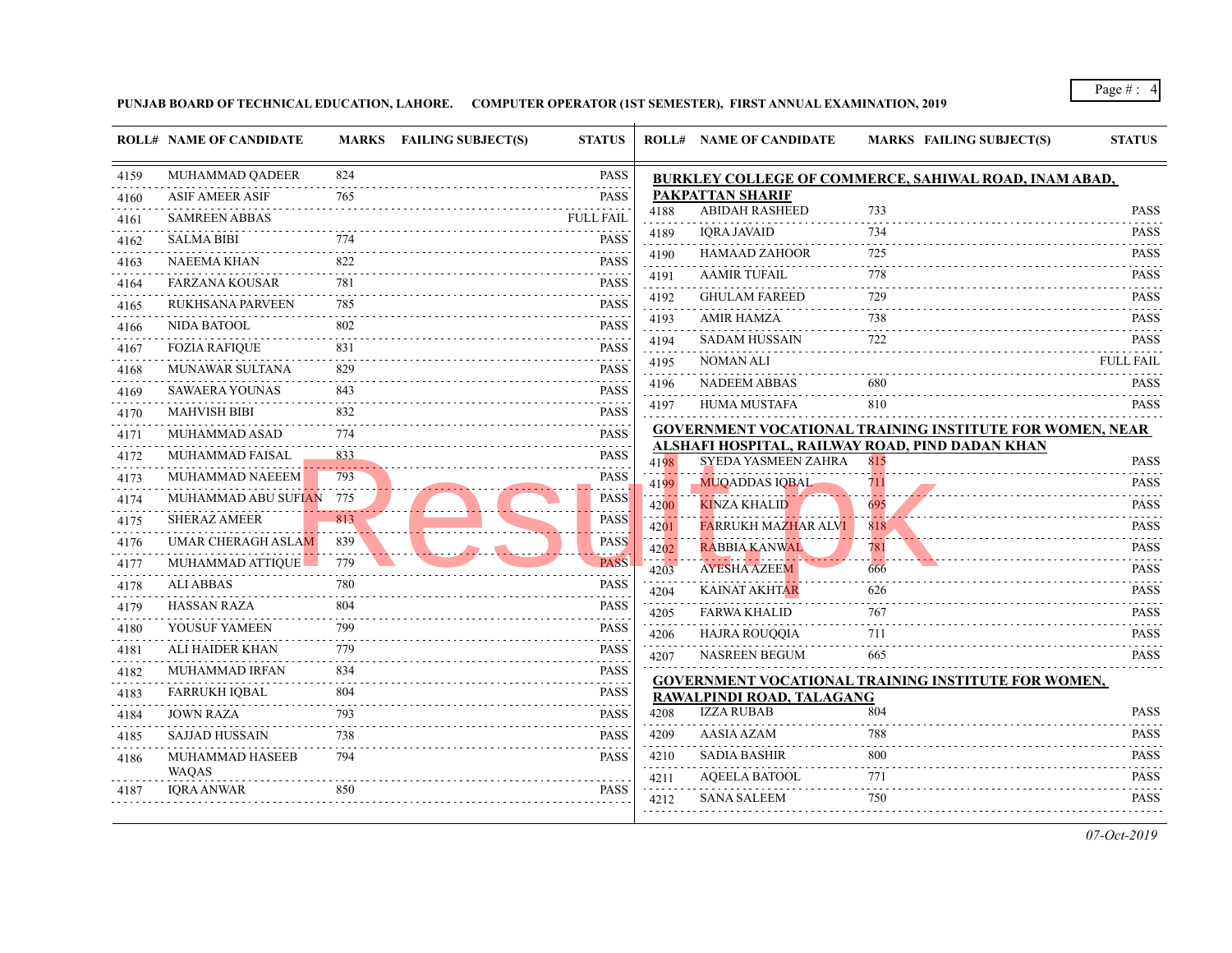|      | <b>ROLL# NAME OF CANDIDATE</b> |       | MARKS FAILING SUBJECT(S) | <b>STATUS</b>            |      | <b>ROLL# NAME OF CANDIDATE</b>                                         | <b>MARKS FAIL</b> |
|------|--------------------------------|-------|--------------------------|--------------------------|------|------------------------------------------------------------------------|-------------------|
| 4159 | <b>MUHAMMAD QADEER</b>         | 824   |                          | <b>PASS</b>              |      | <b>BURKLEY COLLEGE OF COMMERCE, SAHIV</b>                              |                   |
| 4160 | <b>ASIF AMEER ASIF</b>         | 765   |                          | <b>PASS</b>              |      | <b>PAKPATTAN SHARIF</b>                                                |                   |
| 4161 | <b>SAMREEN ABBAS</b>           |       |                          | <b>FULL FAIL</b>         | 4188 | <b>ABIDAH RASHEED</b>                                                  | 733               |
| 4162 | SALMA BIBI                     | 774   |                          | <b>PASS</b>              | 4189 | <b>IQRA JAVAID</b>                                                     | 734               |
| 4163 | <b>NAEEMA KHAN</b>             | 822   |                          | <b>PASS</b>              | 4190 | <b>HAMAAD ZAHOOR</b>                                                   | 725               |
| 4164 | FARZANA KOUSAR                 | 781   |                          | <b>PASS</b>              | 4191 | <b>AAMIR TUFAIL</b>                                                    | 778               |
| 4165 | RUKHSANA PARVEEN               | 785   |                          | <b>PASS</b>              | 4192 | <b>GHULAM FAREED</b>                                                   | 729               |
| 4166 | NIDA BATOOL                    | 802   |                          | <b>PASS</b>              | 4193 | <b>AMIR HAMZA</b>                                                      | 738               |
| 4167 | <b>FOZIA RAFIQUE</b>           | 831   |                          | .<br><b>PASS</b>         | 4194 | <b>SADAM HUSSAIN</b>                                                   | 722               |
| 4168 | MUNAWAR SULTANA                | 829   |                          | PASS                     | 4195 | NOMAN ALI                                                              |                   |
| 4169 | SAWAERA YOUNAS                 | 843   |                          | PASS                     | 4196 | <b>NADEEM ABBAS</b>                                                    | 680               |
| 4170 | <b>MAHVISH BIBI</b>            | 832   |                          | PASS                     | 4197 | <b>HUMA MUSTAFA</b>                                                    | 810               |
| 4171 | MUHAMMAD ASAD                  | 774   |                          | <b>PASS</b>              |      | <b>GOVERNMENT VOCATIONAL TRAINING INS</b>                              |                   |
| 4172 | <b>MUHAMMAD FAISAL</b>         | 833   |                          | PASS                     | 4198 | ALSHAFI HOSPITAL, RAILWAY ROAD, PIND  <br><b>SYEDA YASMEEN ZAHRA</b>   | 815               |
| 4173 | <b>MUHAMMAD NAEEEM</b>         | 793   |                          | <b>PASS</b>              | 4199 | <b>MUQADDAS IQBAL</b>                                                  | 711               |
| 4174 | MUHAMMAD ABU SUFIAN            | - 775 |                          | <b>PASS</b>              | 4200 | KINZA KHALID                                                           | 695               |
| 4175 | <b>SHERAZ AMEER</b>            | 813   |                          | <b>PASS</b>              | 4201 | FARRUKH MAZHAR ALVI                                                    | 818               |
| 4176 | UMAR CHERAGH ASLAM             | 839   |                          | <b>PASS</b>              | 4202 | RABBIA KANWAL                                                          | 781               |
| 4177 | MUHAMMAD ATTIQUE               | 779   |                          | <b>PASS</b>              | 4203 | <b>AYESHA AZEEM</b>                                                    | 666               |
| 4178 | ALI ABBAS                      | 780   |                          | $- - - -$<br><b>PASS</b> | 4204 | <b>KAINAT AKHTAR</b>                                                   | 626               |
| 4179 | HASSAN RAZA                    | 804   |                          | PASS                     | 4205 | FARWA KHALID                                                           | 767               |
| 4180 | YOUSUF YAMEEN                  | 799   |                          | <b>PASS</b>              | 4206 | HAJRA ROUQQIA                                                          | 711               |
| 4181 | ALI HAIDER KHAN                | 779   |                          | <b>PASS</b>              | 4207 | NASREEN BEGUM                                                          | 665               |
| 4182 | MUHAMMAD IRFAN                 | 834   |                          | <b>PASS</b>              |      |                                                                        |                   |
| 4183 | <b>FARRUKH IQBAL</b>           | 804   |                          | <b>PASS</b>              |      | <b>GOVERNMENT VOCATIONAL TRAINING INS</b><br>RAWALPINDI ROAD, TALAGANG |                   |
| 4184 | <b>JOWN RAZA</b>               | 793   |                          | <b>PASS</b>              | 4208 | <b>IZZA RUBAB</b>                                                      | 804               |
| 4185 | SAJJAD HUSSAIN                 | 738   |                          | <b>PASS</b>              | 4209 | AASIA AZAM                                                             | 788               |
| 4186 | MUHAMMAD HASEEB                | 794   |                          | <b>PASS</b>              | 4210 | SADIA BASHIR                                                           | 800               |
|      | <b>WAOAS</b>                   |       |                          |                          | 4211 | <b>AOEELA BATOOL</b>                                                   | 771               |
| 4187 | <b>IORA ANWAR</b>              | 850   |                          | <b>PASS</b>              | 4212 | <b>SANA SALEEM</b>                                                     | 750               |
|      |                                |       |                          |                          |      |                                                                        |                   |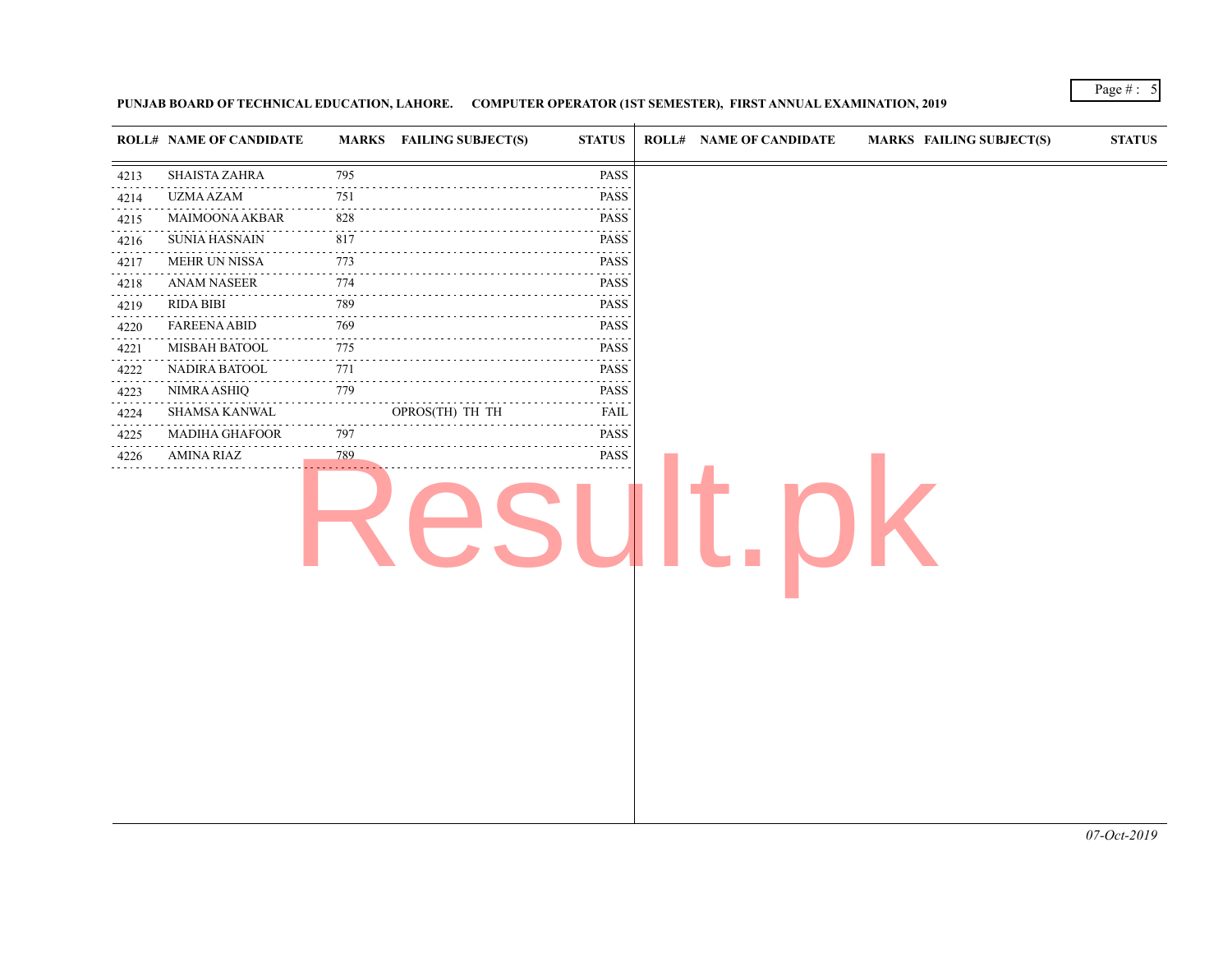|                | ROLL# NAME OF CANDIDATE  |                             | MARKS FAILING SUBJECT(S) | <b>STATUS</b>                                                                                                                                | <b>ROLL# NAME OF CANDIDATE</b> | <b>MARKS FAIL</b> |
|----------------|--------------------------|-----------------------------|--------------------------|----------------------------------------------------------------------------------------------------------------------------------------------|--------------------------------|-------------------|
| 4213           | <b>SHAISTA ZAHRA</b>     | 795                         |                          | PASS                                                                                                                                         |                                |                   |
| .<br>4214      | <b>UZMA AZAM</b>         | 751                         |                          | PASS                                                                                                                                         |                                |                   |
| .<br>4215      | MAIMOONA AKBAR           | .<br>828                    |                          | PASS                                                                                                                                         |                                |                   |
| .<br>4216      | <b>SUNIA HASNAIN</b>     | 817                         |                          | .<br>PASS                                                                                                                                    |                                |                   |
| .<br>4217      | <b>MEHR UN NISSA</b>     | 773<br>.                    |                          | $\alpha$ , $\alpha$ , $\alpha$ , $\alpha$<br>PASS                                                                                            |                                |                   |
| .<br>4218<br>. | <b>ANAM NASEER</b>       | 774                         |                          | PASS                                                                                                                                         |                                |                   |
| 4219<br>.      | RIDA BIBI                | 789                         |                          | PASS<br>$\mathcal{L}^{\mathcal{A}}\left( \mathcal{A}^{\mathcal{A}}\right) =\mathcal{L}^{\mathcal{A}}\left( \mathcal{A}^{\mathcal{A}}\right)$ |                                |                   |
| 4220<br>.      | <b>FAREENA ABID</b><br>. | 769<br>.                    |                          | PASS<br>$\omega_{\rm{eff}}$ and $\omega_{\rm{eff}}$                                                                                          |                                |                   |
| 4221<br>.      | MISBAH BATOOL            | 775                         |                          | <b>PASS</b>                                                                                                                                  |                                |                   |
| 4222<br>.      | NADIRA BATOOL            | 771<br>$\sim$ $\sim$ $\sim$ |                          | PASS<br>$\mathcal{L}^{\mathcal{A}}\left( \mathcal{A}^{\mathcal{A}}\right) =\mathcal{L}^{\mathcal{A}}\left( \mathcal{A}^{\mathcal{A}}\right)$ |                                |                   |
| 4223<br>.      | <b>NIMRA ASHIQ</b>       | 779                         |                          | PASS<br>.                                                                                                                                    |                                |                   |
| 4224           | SHAMSA KANWAL            |                             | OPROS(TH) TH TH          | <b>FAIL</b>                                                                                                                                  |                                |                   |
| 4225           | <b>MADIHA GHAFOOR</b>    | 797                         |                          | PASS<br>$\sim$ $\sim$ $\sim$ $\sim$ $\sim$                                                                                                   |                                |                   |
| 4226<br>.      | AMINA RIAZ               | 789                         |                          | PASS                                                                                                                                         |                                |                   |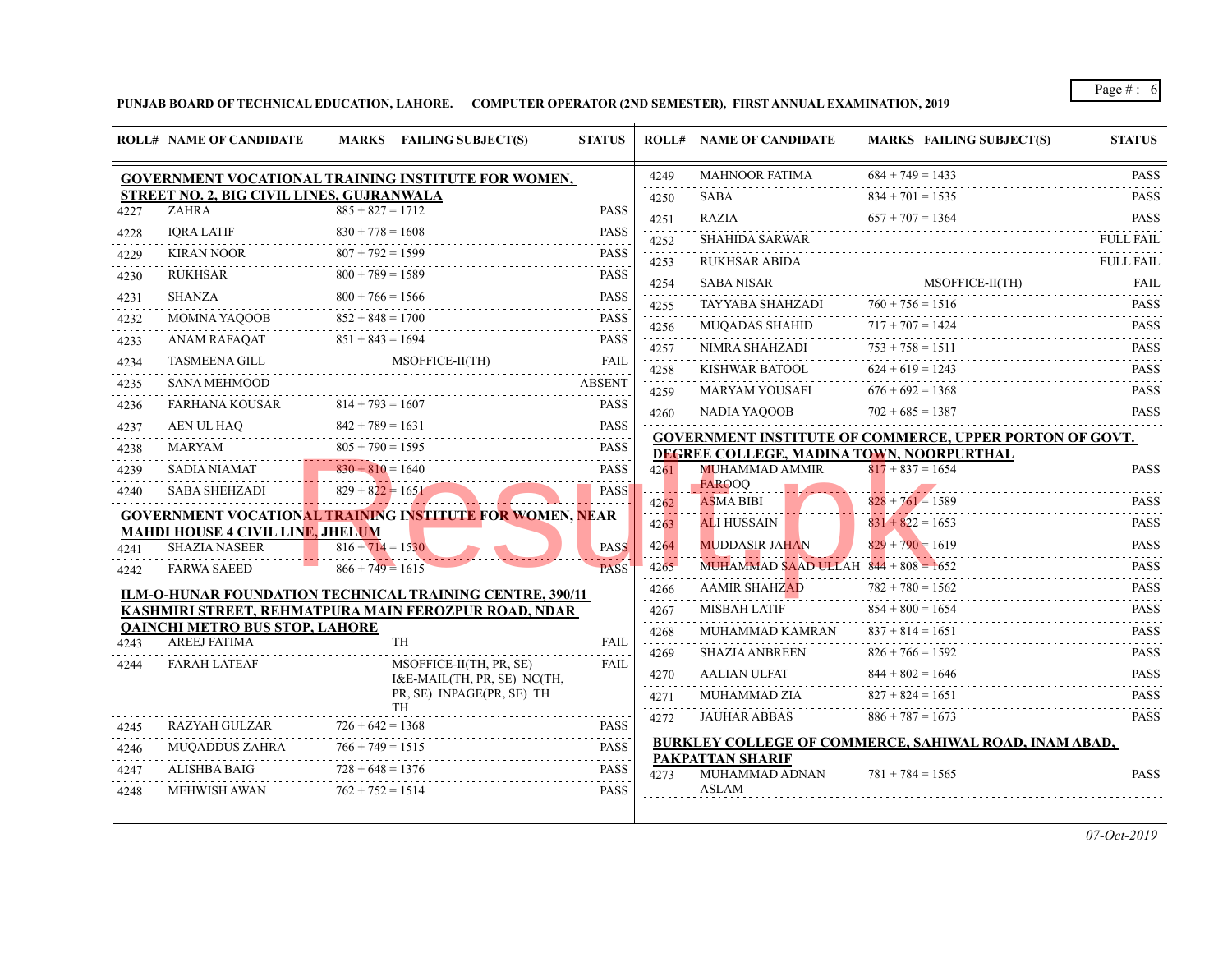|      | <b>ROLL# NAME OF CANDIDATE</b>                        | MARKS FAILING SUBJECT(S)                                        | <b>STATUS</b>                                                                    |      | <b>ROLL# NAME OF CANDIDATE</b>                                                 | <b>MARKS FAIL</b>                      |
|------|-------------------------------------------------------|-----------------------------------------------------------------|----------------------------------------------------------------------------------|------|--------------------------------------------------------------------------------|----------------------------------------|
|      |                                                       | <b>GOVERNMENT VOCATIONAL TRAINING INSTITUTE FOR WOMEN,</b>      |                                                                                  | 4249 | MAHNOOR FATIMA                                                                 | $684 + 749 = 1431$                     |
|      | STREET NO. 2, BIG CIVIL LINES, GUJRANWALA             |                                                                 |                                                                                  | 4250 | <b>SABA</b>                                                                    | $834 + 701 = 153$                      |
| 4227 | <b>ZAHRA</b>                                          | $885 + 827 = 1712$                                              | <b>PASS</b>                                                                      | 4251 | <b>RAZIA</b>                                                                   | $657 + 707 = 136$                      |
| 4228 | <b>IORA LATIF</b>                                     | $830 + 778 = 1608$                                              | <b>PASS</b><br>and a state                                                       | 4252 | <b>SHAHIDA SARWAR</b>                                                          |                                        |
| 4229 | <b>KIRAN NOOR</b>                                     | $807 + 792 = 1599$                                              | <b>PASS</b>                                                                      | 4253 | RUKHSAR ABIDA                                                                  |                                        |
| 4230 | RUKHSAR                                               | $800 + 789 = 1589$                                              | <b>PASS</b><br>$- - - - -$                                                       | 4254 | <b>SABA NISAR</b>                                                              | <b>MSO</b>                             |
| 4231 | SHANZA                                                | $800 + 766 = 1566$                                              | <b>PASS</b>                                                                      | 4255 | TAYYABA SHAHZADI                                                               | $760 + 756 = 151$                      |
| 4232 | MOMNA YAQOOB                                          | $852 + 848 = 1700$                                              | <b>PASS</b>                                                                      | 4256 | <b>MUOADAS SHAHID</b>                                                          | $717 + 707 = 142$                      |
| 4233 | ANAM RAFAQAT                                          | $851 + 843 = 1694$                                              | <b>PASS</b>                                                                      | 4257 | NIMRA SHAHZADI                                                                 | .<br>$753 + 758 = 151$                 |
| 4234 | TASMEENA GILL                                         | MSOFFICE-II(TH)                                                 | <b>FAIL</b>                                                                      | 4258 | KISHWAR BATOOL                                                                 | $624 + 619 = 1241$                     |
| 4235 | <b>SANA MEHMOOD</b>                                   |                                                                 | <b>ABSENT</b>                                                                    | 4259 | MARYAM YOUSAFI                                                                 | $676 + 692 = 136$                      |
| 4236 | FARHANA KOUSAR                                        | $814 + 793 = 1607$                                              | <b>PASS</b>                                                                      | 4260 | NADIA YAQOOB                                                                   | $702 + 685 = 138'$                     |
| 4237 | AEN UL HAO                                            | $842 + 789 = 1631$                                              | <b>PASS</b>                                                                      |      |                                                                                |                                        |
| 4238 | MARYAM                                                | $805 + 790 = 1595$                                              | <b>PASS</b>                                                                      |      | <b>GOVERNMENT INSTITUTE OF COMMERCE,</b><br>DEGREE COLLEGE, MADINA TOWN, NOORP |                                        |
| 4239 | <b>SADIA NIAMAT</b>                                   | $830 + 810 = 1640$                                              | <b>PASS</b>                                                                      | 4261 | <b>MUHAMMAD AMMIR</b>                                                          | $817 + 837 = 165$                      |
| 4240 | <b>SABA SHEHZADI</b>                                  | $829 + 822 = 1651$                                              | .<br><b>PASS</b>                                                                 |      | <b>FAROOO</b>                                                                  |                                        |
|      |                                                       | <b>GOVERNMENT VOCATIONAL TRAINING INSTITUTE FOR WOMEN, NEAR</b> |                                                                                  | 4262 | <b>ASMA BIBI</b>                                                               | $828 + 761 = 158$<br>$831 + 822 = 165$ |
|      | <b>MAHDI HOUSE 4 CIVIL LINE, JHELUM</b>               |                                                                 |                                                                                  | 4263 | <b>ALI HUSSAIN</b>                                                             | .                                      |
| 4241 | <b>SHAZIA NASEER</b>                                  | $816 + 714 = 1530$<br>. <b>.</b>                                | <b>PASS</b>                                                                      | 4264 | <b>MUDDASIR JAHAN</b>                                                          | $829 + 790 = 1619$                     |
| 4242 | <b>FARWA SAEED</b>                                    | $866 + 749 = 1615$                                              | <b>PASS</b>                                                                      | 4265 | MUHAMMAD SAAD ULLAH $844 + 808 = 1652$                                         |                                        |
|      |                                                       | <b>ILM-O-HUNAR FOUNDATION TECHNICAL TRAINING CENTRE, 390/11</b> |                                                                                  | 4266 | <b>AAMIR SHAHZAD</b>                                                           | $782 + 780 = 1561$                     |
|      |                                                       | KASHMIRI STREET, REHMATPURA MAIN FEROZPUR ROAD, NDAR            |                                                                                  | 4267 | MISBAH LATIF                                                                   | $854 + 800 = 165$                      |
| 4243 | <b>QAINCHI METRO BUS STOP, LAHORE</b><br>AREEJ FATIMA | TH                                                              | <b>FAIL</b>                                                                      | 4268 | MUHAMMAD KAMRAN                                                                | $837 + 814 = 165$                      |
|      |                                                       |                                                                 |                                                                                  | 4269 | <b>SHAZIA ANBREEN</b>                                                          | $826 + 766 = 1591$                     |
| 4244 | <b>FARAH LATEAF</b>                                   | MSOFFICE-II(TH, PR, SE)<br>I&E-MAIL(TH, PR, SE) NC(TH,          | <b>FAIL</b>                                                                      | 4270 | AALIAN ULFAT                                                                   | $844 + 802 = 164$                      |
|      |                                                       | PR, SE) INPAGE(PR, SE) TH                                       |                                                                                  | 4271 | MUHAMMAD ZIA                                                                   | $827 + 824 = 165$                      |
|      | <b>RAZYAH GULZAR</b>                                  | <b>TH</b><br>$726 + 642 = 1368$                                 | <b>PASS</b>                                                                      | 4272 | <b>JAUHAR ABBAS</b>                                                            | $886 + 787 = 167$                      |
| 4245 | MUQADDUS ZAHRA                                        | $766 + 749 = 1515$                                              | <b>PASS</b>                                                                      |      | <b>BURKLEY COLLEGE OF COMMERCE, SAHIV</b>                                      |                                        |
| 4246 | ALISHBA BAIG                                          | $728 + 648 = 1376$                                              | $\omega_{\alpha}=\omega_{\alpha}=\omega_{\alpha}=\omega_{\alpha}$<br><b>PASS</b> |      | <b>PAKPATTAN SHARIF</b>                                                        |                                        |
| 4247 |                                                       | $728 + 648 = 1376$                                              | .                                                                                | 4273 | MUHAMMAD ADNAN<br><b>ASLAM</b>                                                 | $781 + 784 = 156$                      |
| 4248 | <b>MEHWISH AWAN</b>                                   | $762 + 752 = 1514$                                              | <b>PASS</b>                                                                      |      |                                                                                |                                        |
|      |                                                       |                                                                 |                                                                                  |      |                                                                                |                                        |